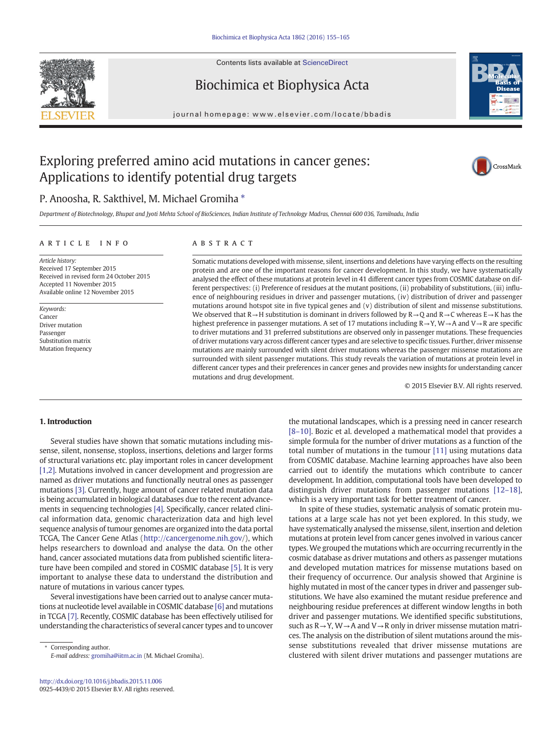

Contents lists available at [ScienceDirect](http://www.sciencedirect.com/science/journal/09254439)

# Biochimica et Biophysica Acta



journal homepage:<www.elsevier.com/locate/bbadis>

# Exploring preferred amino acid mutations in cancer genes: Applications to identify potential drug targets



# P. Anoosha, R. Sakthivel, M. Michael Gromiha  $*$

Department of Biotechnology, Bhupat and Jyoti Mehta School of BioSciences, Indian Institute of Technology Madras, Chennai 600 036, Tamilnadu, India

# article info abstract

Article history: Received 17 September 2015 Received in revised form 24 October 2015 Accepted 11 November 2015 Available online 12 November 2015

Keywords: Cancer Driver mutation Passenger Substitution matrix Mutation frequency

Somatic mutations developed with missense, silent, insertions and deletions have varying effects on the resulting protein and are one of the important reasons for cancer development. In this study, we have systematically analysed the effect of these mutations at protein level in 41 different cancer types from COSMIC database on different perspectives: (i) Preference of residues at the mutant positions, (ii) probability of substitutions, (iii) influence of neighbouring residues in driver and passenger mutations, (iv) distribution of driver and passenger mutations around hotspot site in five typical genes and (v) distribution of silent and missense substitutions. We observed that  $R \rightarrow H$  substitution is dominant in drivers followed by  $R \rightarrow Q$  and  $R \rightarrow C$  whereas  $E \rightarrow K$  has the highest preference in passenger mutations. A set of 17 mutations including R→Y, W→A and V→R are specific to driver mutations and 31 preferred substitutions are observed only in passenger mutations. These frequencies of driver mutations vary across different cancer types and are selective to specific tissues. Further, driver missense mutations are mainly surrounded with silent driver mutations whereas the passenger missense mutations are surrounded with silent passenger mutations. This study reveals the variation of mutations at protein level in different cancer types and their preferences in cancer genes and provides new insights for understanding cancer mutations and drug development.

© 2015 Elsevier B.V. All rights reserved.

# 1. Introduction

Several studies have shown that somatic mutations including missense, silent, nonsense, stoploss, insertions, deletions and larger forms of structural variations etc. play important roles in cancer development [\[1,2\]](#page-9-0). Mutations involved in cancer development and progression are named as driver mutations and functionally neutral ones as passenger mutations [\[3\].](#page-9-0) Currently, huge amount of cancer related mutation data is being accumulated in biological databases due to the recent advancements in sequencing technologies [\[4\]](#page-9-0). Specifically, cancer related clinical information data, genomic characterization data and high level sequence analysis of tumour genomes are organized into the data portal TCGA, The Cancer Gene Atlas [\(http://cancergenome.nih.gov](http://cancergenome.nih.gov)/), which helps researchers to download and analyse the data. On the other hand, cancer associated mutations data from published scientific literature have been compiled and stored in COSMIC database [\[5\]](#page-9-0). It is very important to analyse these data to understand the distribution and nature of mutations in various cancer types.

Several investigations have been carried out to analyse cancer mutations at nucleotide level available in COSMIC database [\[6\]](#page-9-0) and mutations in TCGA [\[7\].](#page-9-0) Recently, COSMIC database has been effectively utilised for understanding the characteristics of several cancer types and to uncover

Corresponding author. E-mail address: [gromiha@iitm.ac.in](mailto:gromiha@iitm.ac.in) (M. Michael Gromiha). the mutational landscapes, which is a pressing need in cancer research [8–[10\].](#page-9-0) Bozic et al. developed a mathematical model that provides a simple formula for the number of driver mutations as a function of the total number of mutations in the tumour [\[11\]](#page-9-0) using mutations data from COSMIC database. Machine learning approaches have also been carried out to identify the mutations which contribute to cancer development. In addition, computational tools have been developed to distinguish driver mutations from passenger mutations [12–[18\],](#page-9-0) which is a very important task for better treatment of cancer.

In spite of these studies, systematic analysis of somatic protein mutations at a large scale has not yet been explored. In this study, we have systematically analysed the missense, silent, insertion and deletion mutations at protein level from cancer genes involved in various cancer types.We grouped the mutations which are occurring recurrently in the cosmic database as driver mutations and others as passenger mutations and developed mutation matrices for missense mutations based on their frequency of occurrence. Our analysis showed that Arginine is highly mutated in most of the cancer types in driver and passenger substitutions. We have also examined the mutant residue preference and neighbouring residue preferences at different window lengths in both driver and passenger mutations. We identified specific substitutions, such as  $R \rightarrow Y$ , W  $\rightarrow$  A and V  $\rightarrow$  R only in driver missense mutation matrices. The analysis on the distribution of silent mutations around the missense substitutions revealed that driver missense mutations are clustered with silent driver mutations and passenger mutations are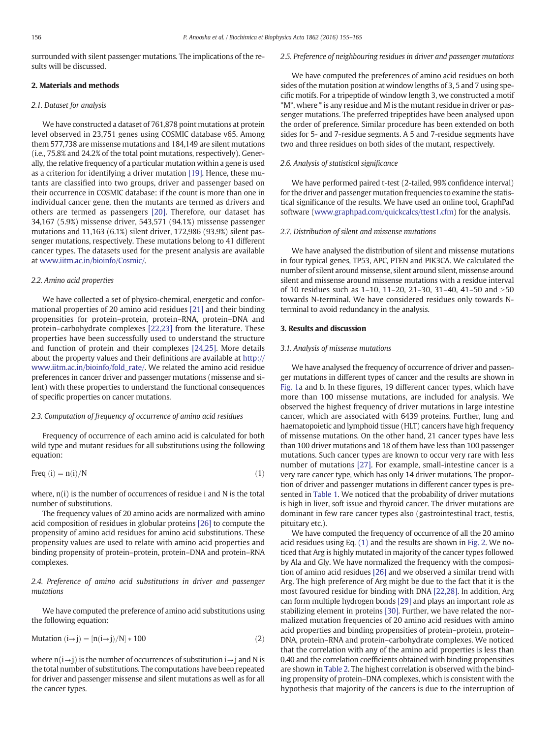<span id="page-1-0"></span>surrounded with silent passenger mutations. The implications of the results will be discussed.

## 2. Materials and methods

# 2.1. Dataset for analysis

We have constructed a dataset of 761,878 point mutations at protein level observed in 23,751 genes using COSMIC database v65. Among them 577,738 are missense mutations and 184,149 are silent mutations (i.e., 75.8% and 24.2% of the total point mutations, respectively). Generally, the relative frequency of a particular mutation within a gene is used as a criterion for identifying a driver mutation [\[19\]](#page-10-0). Hence, these mutants are classified into two groups, driver and passenger based on their occurrence in COSMIC database: if the count is more than one in individual cancer gene, then the mutants are termed as drivers and others are termed as passengers [\[20\]](#page-10-0). Therefore, our dataset has 34,167 (5.9%) missense driver, 543,571 (94.1%) missense passenger mutations and 11,163 (6.1%) silent driver, 172,986 (93.9%) silent passenger mutations, respectively. These mutations belong to 41 different cancer types. The datasets used for the present analysis are available at [www.iitm.ac.in/bioinfo/Cosmic/](http://www.iitm.ac.in/bioinfo/Cosmic/).

# 2.2. Amino acid properties

We have collected a set of physico-chemical, energetic and conformational properties of 20 amino acid residues [\[21\]](#page-10-0) and their binding propensities for protein–protein, protein–RNA, protein–DNA and protein–carbohydrate complexes [\[22,23\]](#page-10-0) from the literature. These properties have been successfully used to understand the structure and function of protein and their complexes [\[24,25\]](#page-10-0). More details about the property values and their definitions are available at [http://](http://www.iitm.ac.in/bioinfo/fold_rate/) [www.iitm.ac.in/bioinfo/fold\\_rate/.](http://www.iitm.ac.in/bioinfo/fold_rate/) We related the amino acid residue preferences in cancer driver and passenger mutations (missense and silent) with these properties to understand the functional consequences of specific properties on cancer mutations.

# 2.3. Computation of frequency of occurrence of amino acid residues

Frequency of occurrence of each amino acid is calculated for both wild type and mutant residues for all substitutions using the following equation:

$$
Freq(i) = n(i)/N
$$
 (1)

where,  $n(i)$  is the number of occurrences of residue i and N is the total number of substitutions.

The frequency values of 20 amino acids are normalized with amino acid composition of residues in globular proteins [\[26\]](#page-10-0) to compute the propensity of amino acid residues for amino acid substitutions. These propensity values are used to relate with amino acid properties and binding propensity of protein–protein, protein–DNA and protein–RNA complexes.

# 2.4. Preference of amino acid substitutions in driver and passenger mutations

We have computed the preference of amino acid substitutions using the following equation:

$$
Mutation (i\rightarrow j) = [n(i\rightarrow j)/N] * 100 \qquad \qquad (2)
$$

where  $n(i\rightarrow j)$  is the number of occurrences of substitution  $i\rightarrow j$  and N is the total number of substitutions. The computations have been repeated for driver and passenger missense and silent mutations as well as for all the cancer types.

# 2.5. Preference of neighbouring residues in driver and passenger mutations

We have computed the preferences of amino acid residues on both sides of the mutation position at window lengths of 3, 5 and 7 using specific motifs. For a tripeptide of window length 3, we constructed a motif \*M\*, where \* is any residue and M is the mutant residue in driver or passenger mutations. The preferred tripeptides have been analysed upon the order of preference. Similar procedure has been extended on both sides for 5- and 7-residue segments. A 5 and 7-residue segments have two and three residues on both sides of the mutant, respectively.

# 2.6. Analysis of statistical significance

We have performed paired t-test (2-tailed, 99% confidence interval) for the driver and passenger mutation frequencies to examine the statistical significance of the results. We have used an online tool, GraphPad software [\(www.graphpad.com/quickcalcs/ttest1.cfm\)](http://www.graphpad.com/quickcalcs/ttest1.cfm) for the analysis.

# 2.7. Distribution of silent and missense mutations

We have analysed the distribution of silent and missense mutations in four typical genes, TP53, APC, PTEN and PIK3CA. We calculated the number of silent around missense, silent around silent, missense around silent and missense around missense mutations with a residue interval of 10 residues such as  $1-10$ ,  $11-20$ ,  $21-30$ ,  $31-40$ ,  $41-50$  and  $>50$ towards N-terminal. We have considered residues only towards Nterminal to avoid redundancy in the analysis.

## 3. Results and discussion

# 3.1. Analysis of missense mutations

We have analysed the frequency of occurrence of driver and passenger mutations in different types of cancer and the results are shown in [Fig. 1](#page-2-0)a and b. In these figures, 19 different cancer types, which have more than 100 missense mutations, are included for analysis. We observed the highest frequency of driver mutations in large intestine cancer, which are associated with 6439 proteins. Further, lung and haematopoietic and lymphoid tissue (HLT) cancers have high frequency of missense mutations. On the other hand, 21 cancer types have less than 100 driver mutations and 18 of them have less than 100 passenger mutations. Such cancer types are known to occur very rare with less number of mutations [\[27\]](#page-10-0). For example, small-intestine cancer is a very rare cancer type, which has only 14 driver mutations. The proportion of driver and passenger mutations in different cancer types is presented in [Table 1](#page-2-0). We noticed that the probability of driver mutations is high in liver, soft issue and thyroid cancer. The driver mutations are dominant in few rare cancer types also (gastrointestinal tract, testis, pituitary etc.).

We have computed the frequency of occurrence of all the 20 amino acid residues using Eq. (1) and the results are shown in [Fig. 2.](#page-3-0) We noticed that Arg is highly mutated in majority of the cancer types followed by Ala and Gly. We have normalized the frequency with the composition of amino acid residues [\[26\]](#page-10-0) and we observed a similar trend with Arg. The high preference of Arg might be due to the fact that it is the most favoured residue for binding with DNA [\[22,28\]](#page-10-0). In addition, Arg can form multiple hydrogen bonds [\[29\]](#page-10-0) and plays an important role as stabilizing element in proteins [\[30\]](#page-10-0). Further, we have related the normalized mutation frequencies of 20 amino acid residues with amino acid properties and binding propensities of protein–protein, protein– DNA, protein–RNA and protein–carbohydrate complexes. We noticed that the correlation with any of the amino acid properties is less than 0.40 and the correlation coefficients obtained with binding propensities are shown in [Table 2](#page-3-0). The highest correlation is observed with the binding propensity of protein–DNA complexes, which is consistent with the hypothesis that majority of the cancers is due to the interruption of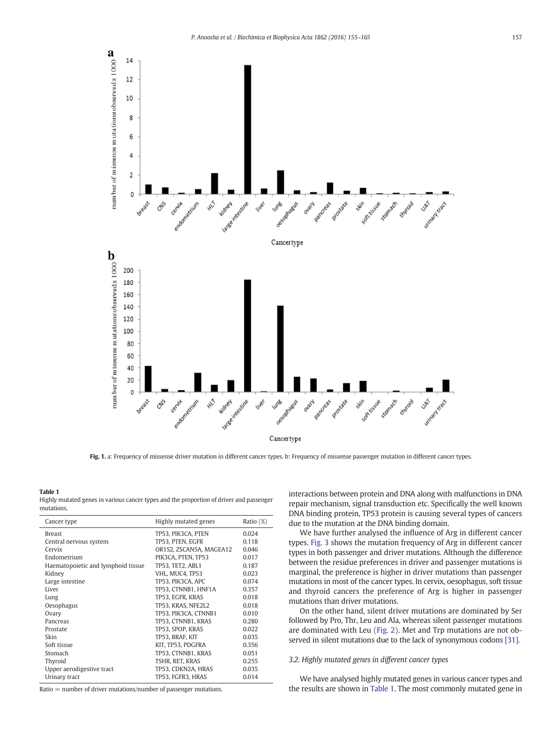<span id="page-2-0"></span>

Fig. 1. a: Frequency of missense driver mutation in different cancer types. b: Frequency of missense passenger mutation in different cancer types.

#### Table 1

Highly mutated genes in various cancer types and the proportion of driver and passenger mutations.

| Cancer type                        | Highly mutated genes    | Ratio (%) |
|------------------------------------|-------------------------|-----------|
| <b>Breast</b>                      | TP53, PIK3CA, PTEN      | 0.024     |
| Central nervous system             | TP53. PTEN. EGFR        | 0.118     |
| Cervix                             | OR1S2, ZSCAN5A, MAGEA12 | 0.046     |
| Endometrium                        | PIK3CA, PTEN, TP53      | 0.017     |
| Haematopoietic and lymphoid tissue | TP53. TET2. ABL1        | 0.187     |
| Kidney                             | VHL. MUC4. TP53         | 0.023     |
| Large intestine                    | TP53, PIK3CA, APC       | 0.074     |
| Liver                              | TP53, CTNNB1, HNF1A     | 0.357     |
| Lung                               | TP53, EGFR, KRAS        | 0.018     |
| Oesophagus                         | TP53, KRAS, NFE2L2      | 0.018     |
| Ovary                              | TP53, PIK3CA, CTNNB1    | 0.010     |
| Pancreas                           | TP53. CTNNB1. KRAS      | 0.280     |
| Prostate                           | TP53. SPOP. KRAS        | 0.022     |
| Skin                               | TP53, BRAF, KIT         | 0.035     |
| Soft tissue                        | KIT, TP53, PDGFRA       | 0.356     |
| Stomach                            | TP53, CTNNB1, KRAS      | 0.051     |
| Thyroid                            | TSHR, RET, KRAS         | 0.255     |
| Upper aerodigestive tract          | TP53, CDKN2A, HRAS      | 0.035     |
| Urinary tract                      | TP53, FGFR3, HRAS       | 0.014     |

 $Ratio = number of driver mutations/number of passenger mutations.$ 

interactions between protein and DNA along with malfunctions in DNA repair mechanism, signal transduction etc. Specifically the well known DNA binding protein, TP53 protein is causing several types of cancers due to the mutation at the DNA binding domain.

We have further analysed the influence of Arg in different cancer types. [Fig. 3](#page-3-0) shows the mutation frequency of Arg in different cancer types in both passenger and driver mutations. Although the difference between the residue preferences in driver and passenger mutations is marginal, the preference is higher in driver mutations than passenger mutations in most of the cancer types. In cervix, oesophagus, soft tissue and thyroid cancers the preference of Arg is higher in passenger mutations than driver mutations.

On the other hand, silent driver mutations are dominated by Ser followed by Pro, Thr, Leu and Ala, whereas silent passenger mutations are dominated with Leu [\(Fig. 2\)](#page-3-0). Met and Trp mutations are not observed in silent mutations due to the lack of synonymous codons [\[31\]](#page-10-0).

# 3.2. Highly mutated genes in different cancer types

We have analysed highly mutated genes in various cancer types and the results are shown in Table 1. The most commonly mutated gene in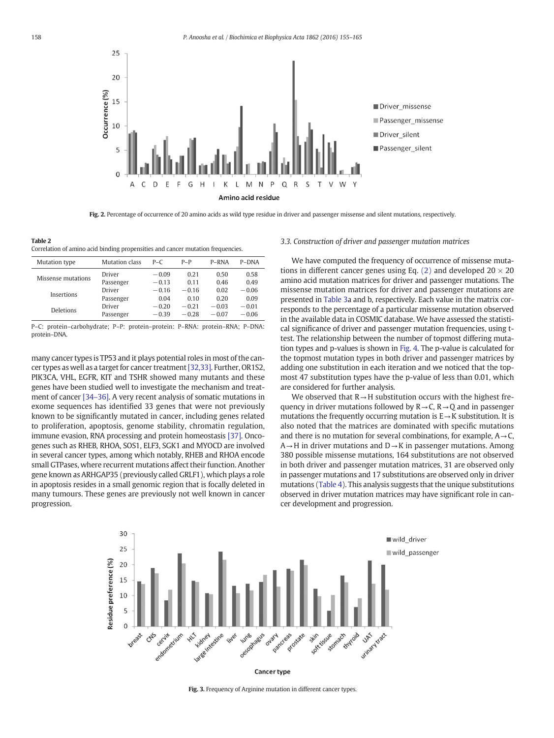<span id="page-3-0"></span>

Fig. 2. Percentage of occurrence of 20 amino acids as wild type residue in driver and passenger missense and silent mutations, respectively.

Table 2 Correlation of amino acid binding propensities and cancer mutation frequencies.

| Mutation type      | Mutation class | $P - C$ | $P-P$   | P-RNA   | P-DNA   |
|--------------------|----------------|---------|---------|---------|---------|
| Missense mutations | Driver         | $-0.09$ | 0.21    | 0.50    | 0.58    |
|                    | Passenger      | $-0.13$ | 0.11    | 0.46    | 0.49    |
| Insertions         | Driver         | $-0.16$ | $-0.16$ | 0.02    | $-0.06$ |
|                    | Passenger      | 0.04    | 0.10    | 0.20    | 0.09    |
| Deletions          | Driver         | $-0.20$ | $-0.21$ | $-0.03$ | $-0.01$ |
|                    | Passenger      | $-0.39$ | $-0.28$ | $-0.07$ | $-0.06$ |

P–C: protein–carbohydrate; P–P: protein–protein: P–RNA: protein–RNA; P–DNA: protein–DNA.

many cancer types is TP53 and it plays potential roles in most of the cancer types as well as a target for cancer treatment[\[32,33\].](#page-10-0) Further, OR1S2, PIK3CA, VHL, EGFR, KIT and TSHR showed many mutants and these genes have been studied well to investigate the mechanism and treatment of cancer [34–[36\].](#page-10-0) A very recent analysis of somatic mutations in exome sequences has identified 33 genes that were not previously known to be significantly mutated in cancer, including genes related to proliferation, apoptosis, genome stability, chromatin regulation, immune evasion, RNA processing and protein homeostasis [\[37\]](#page-10-0). Oncogenes such as RHEB, RHOA, SOS1, ELF3, SGK1 and MYOCD are involved in several cancer types, among which notably, RHEB and RHOA encode small GTPases, where recurrent mutations affect their function. Another gene known as ARHGAP35 (previously called GRLF1), which plays a role in apoptosis resides in a small genomic region that is focally deleted in many tumours. These genes are previously not well known in cancer progression.

# 3.3. Construction of driver and passenger mutation matrices

We have computed the frequency of occurrence of missense muta-tions in different cancer genes using Eq. [\(2\)](#page-1-0) and developed  $20 \times 20$ amino acid mutation matrices for driver and passenger mutations. The missense mutation matrices for driver and passenger mutations are presented in [Table 3a](#page-4-0) and b, respectively. Each value in the matrix corresponds to the percentage of a particular missense mutation observed in the available data in COSMIC database. We have assessed the statistical significance of driver and passenger mutation frequencies, using ttest. The relationship between the number of topmost differing mutation types and p-values is shown in [Fig. 4.](#page-4-0) The p-value is calculated for the topmost mutation types in both driver and passenger matrices by adding one substitution in each iteration and we noticed that the topmost 47 substitution types have the p-value of less than 0.01, which are considered for further analysis.

We observed that  $R \rightarrow H$  substitution occurs with the highest frequency in driver mutations followed by  $R \rightarrow C$ ,  $R \rightarrow Q$  and in passenger mutations the frequently occurring mutation is  $E \rightarrow K$  substitution. It is also noted that the matrices are dominated with specific mutations and there is no mutation for several combinations, for example,  $A \rightarrow C$ ,  $A \rightarrow H$  in driver mutations and  $D \rightarrow K$  in passenger mutations. Among 380 possible missense mutations, 164 substitutions are not observed in both driver and passenger mutation matrices, 31 are observed only in passenger mutations and 17 substitutions are observed only in driver mutations ([Table 4\)](#page-5-0). This analysis suggests that the unique substitutions observed in driver mutation matrices may have significant role in cancer development and progression.



Cancer type

Fig. 3. Frequency of Arginine mutation in different cancer types.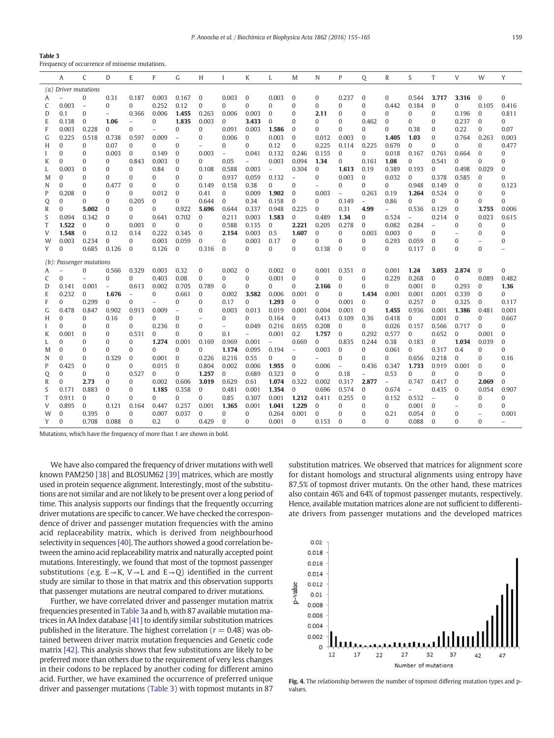<span id="page-4-0"></span>

| Table 3 |  |  |
|---------|--|--|
|         |  |  |

Frequency of occurrence of missense mutations.

|   | A                    | C                        | D                        | E                        | F                        | G                        | H            | $\mathbf{I}$             | K              | L              | M              | N              | P                        | Q                        | R              | S            | T              | V            | W                        | Y            |
|---|----------------------|--------------------------|--------------------------|--------------------------|--------------------------|--------------------------|--------------|--------------------------|----------------|----------------|----------------|----------------|--------------------------|--------------------------|----------------|--------------|----------------|--------------|--------------------------|--------------|
|   | (a) Driver mutations |                          |                          |                          |                          |                          |              |                          |                |                |                |                |                          |                          |                |              |                |              |                          |              |
| A |                      | $\Omega$                 | 0.31                     | 0.187                    | 0.003                    | 0.167                    | $\mathbf{0}$ | 0.003                    | $\mathbf{0}$   | 0.003          | $\mathbf{0}$   | 0              | 0.237                    | $\mathbf{0}$             | $\Omega$       | 0.544        | 3.717          | 3.316        | $\mathbf{0}$             | $\Omega$     |
| C | 0.003                | $\sim$                   | $\Omega$                 | $\Omega$                 | 0.252                    | 0.12                     | $\Omega$     | $\Omega$                 | $\theta$       | $\Omega$       | $\Omega$       | $\Omega$       | $\mathbf{0}$             | $\Omega$                 | 0.442          | 0.184        | $\mathbf{0}$   | $\Omega$     | 0.105                    | 0.416        |
| D | 0.1                  | $\bf{0}$                 | $\overline{\phantom{a}}$ | 0.366                    | 0.006                    | 1.455                    | 0.263        | 0.006                    | 0.003          | $\bf{0}$       | $\mathbf{0}$   | 2.11           | $\bf{0}$                 | $\Omega$                 | 0              | 0            | 0              | 0.196        | $\mathbf{0}$             | 0.811        |
| E | 0.138                | $\bf{0}$                 | 1.06                     | $\overline{\phantom{0}}$ | $\Omega$                 | 1.835                    | 0.003        | $\mathbf{0}$             | 3.433          | $\Omega$       | $\Omega$       | $\Omega$       | $\Omega$                 | 0.462                    | $\Omega$       | $\theta$     | $\Omega$       | 0.237        | $\Omega$                 | $\Omega$     |
| F | 0.003                | 0.228                    | $\Omega$                 | $\Omega$                 | $\overline{\phantom{0}}$ | $\Omega$                 | $\Omega$     | 0.091                    | 0.003          | 1.586          | $\Omega$       | $\Omega$       | $\Omega$                 | $\Omega$                 | 0              | 0.38         | $\Omega$       | 0.22         | $\Omega$                 | 0.07         |
| G | 0.225                | 0.518                    | 0.738                    | 0.597                    | 0.009                    | $\overline{\phantom{a}}$ | $\Omega$     | 0.006                    | $\bf{0}$       | 0.003          | $\mathbf{0}$   | 0.012          | 0.003                    | 0                        | 1.405          | 1.03         | $\mathbf{0}$   | 0.764        | 0.263                    | 0.003        |
| H | $\Omega$             | $\Omega$                 | 0.07                     | $\Omega$                 | $\Omega$                 | $\Omega$                 |              | $\Omega$                 | $\Omega$       | 0.12           | $\Omega$       | 0.225          | 0.114                    | 0.225                    | 0.679          | $\Omega$     | $\Omega$       | $\Omega$     | $\Omega$                 | 0.477        |
|   | $\Omega$             | $\Omega$                 | 0.003                    | $\Omega$                 | 0.149                    | $\mathbf{0}$             | 0.003        | $\overline{\phantom{a}}$ | 0.041          | 0.132          | 0.246          | 0.155          | $\mathbf{0}$             | $\mathbf{0}$             | 0.018          | 0.167        | 0.761          | 0.664        | $\Omega$                 | $\Omega$     |
| K | 0                    | $\bf{0}$                 | 0                        | 0.843                    | 0.003                    | $\mathbf{0}$             | 0            | 0.05                     | $\overline{a}$ | 0.003          | 0.094          | 1.34           | $\mathbf{0}$             | 0.161                    | 1.08           | 0            | 0.541          | $\Omega$     | 0                        | $\mathbf{0}$ |
| L | 0.003                | $\mathbf{0}$             | $\Omega$                 | $\Omega$                 | 0.84                     | $\mathbf{0}$             | 0.108        | 0.588                    | 0.003          | $\overline{a}$ | 0.304          | $\mathbf{0}$   | 1.613                    | 0.19                     | 0.389          | 0.193        | $\mathbf{0}$   | 0.498        | 0.029                    | $\mathbf{0}$ |
| M | $\Omega$             | $\Omega$                 | $\Omega$                 | $\Omega$                 | $\Omega$                 | $\Omega$                 | $\Omega$     | 0.937                    | 0.059          | 0.132          | $\overline{a}$ | $\Omega$       | 0.003                    | $\bf{0}$                 | 0.032          | $\Omega$     | 0.378          | 0.585        | $\mathbf{0}$             | $\Omega$     |
| N | $\Omega$             | $\bf{0}$                 | 0.477                    | $\mathbf{0}$             | $\bf{0}$                 | $\mathbf{0}$             | 0.149        | 0.158                    | 0.38           | $\Omega$       | $\bf{0}$       | $\overline{a}$ | $\mathbf{0}$             | 0                        | 0              | 0.948        | 0.149          | 0            | 0                        | 0.123        |
| P | 0.208                | $\mathbf{0}$             | $\Omega$                 | $\Omega$                 | 0.012                    | $\mathbf{0}$             | 0.41         | $\mathbf{0}$             | 0.009          | 1.902          | $\bf{0}$       | 0.003          | $\overline{\phantom{a}}$ | 0.263                    | 0.19           | 1.264        | 0.524          | $\mathbf{0}$ | 0                        | $\bf{0}$     |
| Q | $\Omega$             | $\Omega$                 | $\Omega$                 | 0.205                    | $\Omega$                 | $\Omega$                 | 0.644        | $\mathbf{0}$             | 0.34           | 0.158          | $\Omega$       | 0              | 0.149                    | $\overline{\phantom{a}}$ | 0.86           | $\theta$     | 0              | $\Omega$     | $\Omega$                 | $\Omega$     |
| R | $\Omega$             | 5.002                    | $\mathbf{0}$             | $\Omega$                 | $\Omega$                 | 0.922                    | 5.696        | 0.644                    | 0.337          | 0.948          | 0.225          | $\Omega$       | 0.31                     | 4.99                     |                | 0.536        | 0.129          | $\Omega$     | 3.755                    | 0.006        |
| S | 0.094                | 0.342                    | 0                        | $\mathbf{0}$             | 0.641                    | 0.702                    | $\mathbf{0}$ | 0.211                    | 0.003          | 1.583          | $\mathbf{0}$   | 0.489          | 1.34                     | 0                        | 0.524          | $\equiv$     | 0.214          | 0            | 0.023                    | 0.615        |
| T | 1.522                | $\Omega$                 | $\Omega$                 | 0.003                    | $\Omega$                 | $\Omega$                 | $\Omega$     | 0.588                    | 0.135          | $\mathbf{0}$   | 2.221          | 0.205          | 0.278                    | $\bf{0}$                 | 0.082          | 0.284        | $\overline{a}$ | $\Omega$     | $\Omega$                 | $\Omega$     |
| V | 1.548                | $\Omega$                 | 0.12                     | 0.14                     | 0.222                    | 0.345                    | $\mathbf{0}$ | 2.154                    | 0.003          | 0.5            | 1.607          | $\Omega$       | $\mathbf{0}$             | 0.003                    | 0.003          | $\Omega$     | $\Omega$       |              | $\Omega$                 | $\Omega$     |
| W | 0.003                | 0.234                    | 0                        | 0                        | 0.003                    | 0.059                    | $\mathbf{0}$ | $\mathbf{0}$             | 0.003          | 0.17           | $\bf{0}$       | $\Omega$       | $\mathbf{0}$             | $\bf{0}$                 | 0.293          | 0.059        | $\mathbf{0}$   | $\bf{0}$     | $\overline{\phantom{0}}$ | $\mathbf{0}$ |
| Y | $\Omega$             | 0.685                    | 0.126                    | $\mathbf{0}$             | 0.126                    | $\mathbf{0}$             | 0.316        | $\mathbf{0}$             | $\theta$       | $\Omega$       | $\Omega$       | 0.138          | $\mathbf{0}$             | $\theta$                 | 0              | 0.117        | $\mathbf{0}$   | $\Omega$     | $\Omega$                 |              |
|   |                      | (b): Passenger mutations |                          |                          |                          |                          |              |                          |                |                |                |                |                          |                          |                |              |                |              |                          |              |
| A |                      | $\Omega$                 | 0.566                    | 0.329                    | 0.003                    | 0.32                     | $\mathbf{0}$ | 0.002                    | $\mathbf{0}$   | 0.002          | $\mathbf{0}$   | 0.001          | 0.351                    | $\bf{0}$                 | 0.001          | 1.24         | 3.053          | 2.874        | $\mathbf{0}$             | $\Omega$     |
| C | $\Omega$             | $\overline{\phantom{0}}$ | $\Omega$                 | $\Omega$                 | 0.403                    | 0.08                     | $\Omega$     | $\Omega$                 | $\Omega$       | 0.001          | $\Omega$       | $\Omega$       | $\Omega$                 | $\Omega$                 | 0.229          | 0.268        | $\mathbf{0}$   | $\Omega$     | 0.089                    | 0.482        |
| D | 0.141                | 0.001                    | $\overline{\phantom{a}}$ | 0.613                    | 0.002                    | 0.705                    | 0.789        | $\mathbf{0}$             | $\bf{0}$       | $\Omega$       | $\bf{0}$       | 2.166          | $\mathbf{0}$             | 0                        | 0              | 0.001        | $\mathbf{0}$   | 0.293        | 0                        | 1.36         |
| E | 0.232                | $\Omega$                 | 1.676                    | $\overline{a}$           | $\Omega$                 | 0.661                    | $\Omega$     | 0.002                    | 3.582          | 0.006          | 0.001          | $\mathbf{0}$   | $\Omega$                 | 1.434                    | 0.001          | 0.001        | 0.001          | 0.339        | $\Omega$                 | $\Omega$     |
| F | $\Omega$             | 0.299                    | $\Omega$                 | $\Omega$                 | Ĭ.                       | $\Omega$                 | $\Omega$     | 0.17                     | $\Omega$       | 1.293          | $\Omega$       | $\Omega$       | 0.001                    | $\bf{0}$                 | 0              | 0.257        | $\Omega$       | 0.325        | $\Omega$                 | 0.117        |
| G | 0.478                | 0.847                    | 0.902                    | 0.913                    | 0.009                    | $\overline{a}$           | $\mathbf{0}$ | 0.003                    | 0.013          | 0.019          | 0.001          | 0.004          | 0.001                    | 0                        | 1.455          | 0.936        | 0.001          | 1.386        | 0.481                    | 0.001        |
| H | $\Omega$             | $\Omega$                 | 0.16                     | 0                        | $\Omega$                 | $\Omega$                 |              | $\Omega$                 | $\Omega$       | 0.164          | $\Omega$       | 0.413          | 0.109                    | 0.36                     | 0.418          | $\Omega$     | 0.001          | $\Omega$     | 0                        | 0.667        |
|   | $\Omega$             | $\Omega$                 | $\Omega$                 | $\Omega$                 | 0.236                    | $\mathbf{0}$             | $\mathbf{0}$ | $\overline{\phantom{0}}$ | 0.049          | 0.216          | 0.655          | 0.208          | $\mathbf{0}$             | $\Omega$                 | 0.026          | 0.157        | 0.566          | 0.717        | $\Omega$                 | $\mathbf{0}$ |
| K | 0.001                | $\mathbf{0}$             | 0                        | 0.531                    | 0                        | 0                        | $\Omega$     | 0.1                      |                | 0.001          | 0.2            | 1.757          | $\mathbf{0}$             | 0.292                    | 0.577          | $\mathbf{0}$ | 0.652          | $\mathbf{0}$ | 0.001                    | $\mathbf{0}$ |
| L | $\Omega$             | $\mathbf{0}$             | $\Omega$                 | 0                        | 1.274                    | 0.001                    | 0.169        | 0.969                    | 0.001          | $\overline{a}$ | 0.669          | $\mathbf{0}$   | 0.835                    | 0.244                    | 0.38           | 0.183        | $\mathbf{0}$   | 1.034        | 0.039                    | $\mathbf{0}$ |
| M | $\Omega$             | $\Omega$                 | $\Omega$                 | $\Omega$                 | $\Omega$                 | $\Omega$                 | $\Omega$     | 1.174                    | 0.095          | 0.194          | $\overline{a}$ | 0.003          | $\mathbf{0}$             | $\Omega$                 | 0.061          | $\Omega$     | 0.317          | 0.4          | $\Omega$                 | $\Omega$     |
| N | $\Omega$             | $\bf{0}$                 | 0.329                    | $\mathbf{0}$             | 0.001                    | $\mathbf{0}$             | 0.226        | 0.216                    | 0.55           | 0              | $\bf{0}$       | $\overline{a}$ | $\mathbf{0}$             | 0                        | 0              | 0.656        | 0.218          | 0            | 0                        | 0.16         |
| P | 0.425                | $\bf{0}$                 | 0                        | $\Omega$                 | 0.015                    | $\mathbf{0}$             | 0.804        | 0.002                    | 0.006          | 1.955          | $\bf{0}$       | 0.006          | $\overline{\phantom{a}}$ | 0.436                    | 0.347          | 1.733        | 0.919          | 0.001        | $\bf{0}$                 | $\mathbf{0}$ |
| Q | $\Omega$             | $\bf{0}$                 | $\Omega$                 | 0.527                    | $\Omega$                 | $\Omega$                 | 1.257        | $\mathbf{0}$             | 0.689          | 0.323          | $\Omega$       | $\Omega$       | 0.18                     | $\overline{a}$           | 0.53           | $\theta$     | $\Omega$       | $\Omega$     | $\Omega$                 | $\Omega$     |
| R | $\Omega$             | 2.73                     | $\Omega$                 | $\Omega$                 | 0.002                    | 0.606                    | 3.019        | 0.629                    | 0.61           | 1.074          | 0.322          | 0.002          | 0.317                    | 2.877                    | $\overline{a}$ | 0.747        | 0.417          | $\Omega$     | 2.069                    | $\mathbf{0}$ |
| S | 0.171                | 0.883                    | 0                        | 0                        | 1.185                    | 0.358                    | 0            | 0.481                    | 0.001          | 1.354          | $\mathbf{0}$   | 0.696          | 0.574                    | 0                        | 0.674          | $\equiv$     | 0.435          | $\bf{0}$     | 0.054                    | 0.907        |
| T | 0.911                | $\Omega$                 | $\Omega$                 | $\Omega$                 | $\Omega$                 | $\Omega$                 | $\Omega$     | 0.85                     | 0.307          | 0.001          | 1.212          | 0.411          | 0.255                    | $\bf{0}$                 | 0.152          | 0.532        | $\overline{a}$ | $\Omega$     | 0                        | $\Omega$     |
| V | 0.895                | $\bf{0}$                 | 0.121                    | 0.164                    | 0.447                    | 0.257                    | 0.001        | 1.365                    | 0.001          | 1.041          | 1.229          | $\Omega$       | $\mathbf{0}$             | $\Omega$                 | $\Omega$       | 0.001        | $\Omega$       |              | $\Omega$                 | $\Omega$     |
| W | $\Omega$             | 0.395                    | 0                        | 0                        | 0.007                    | 0.037                    | $\mathbf{0}$ | $\overline{0}$           | $\bf{0}$       | 0.264          | 0.001          | 0              | $\mathbf{0}$             | 0                        | 0.21           | 0.054        | $\mathbf{0}$   | $\bf{0}$     | $\overline{a}$           | 0.001        |
| Y | $\Omega$             | 0.708                    | 0.088                    | $\mathbf{0}$             | 0.2                      | $\Omega$                 | 0.429        | $\mathbf{0}$             | $\bf{0}$       | 0.001          | $\bf{0}$       | 0.153          | $\Omega$                 | $\Omega$                 | 0              | 0.088        | $\Omega$       | $\Omega$     | $\Omega$                 |              |

Mutations, which have the frequency of more than 1 are shown in bold.

We have also compared the frequency of driver mutations with well known PAM250 [\[38\]](#page-10-0) and BLOSUM62 [\[39\]](#page-10-0) matrices, which are mostly used in protein sequence alignment. Interestingly, most of the substitutions are not similar and are not likely to be present over a long period of time. This analysis supports our findings that the frequently occurring driver mutations are specific to cancer. We have checked the correspondence of driver and passenger mutation frequencies with the amino acid replaceability matrix, which is derived from neighbourhood selectivity in sequences [\[40\].](#page-10-0) The authors showed a good correlation between the amino acid replaceability matrix and naturally accepted point mutations. Interestingly, we found that most of the topmost passenger substitutions (e.g.  $E \rightarrow K$ ,  $V \rightarrow L$  and  $E \rightarrow Q$ ) identified in the current study are similar to those in that matrix and this observation supports that passenger mutations are neutral compared to driver mutations.

Further, we have correlated driver and passenger mutation matrix frequencies presented in Table 3a and b, with 87 available mutation matrices in AA Index database [\[41\]](#page-10-0) to identify similar substitution matrices published in the literature. The highest correlation ( $r = 0.48$ ) was obtained between driver matrix mutation frequencies and Genetic code matrix [\[42\]](#page-10-0). This analysis shows that few substitutions are likely to be preferred more than others due to the requirement of very less changes in their codons to be replaced by another coding for different amino acid. Further, we have examined the occurrence of preferred unique driver and passenger mutations (Table 3) with topmost mutants in 87 substitution matrices. We observed that matrices for alignment score for distant homologs and structural alignments using entropy have 87.5% of topmost driver mutants. On the other hand, these matrices also contain 46% and 64% of topmost passenger mutants, respectively. Hence, available mutation matrices alone are not sufficient to differentiate drivers from passenger mutations and the developed matrices



Fig. 4. The relationship between the number of topmost differing mutation types and pvalues.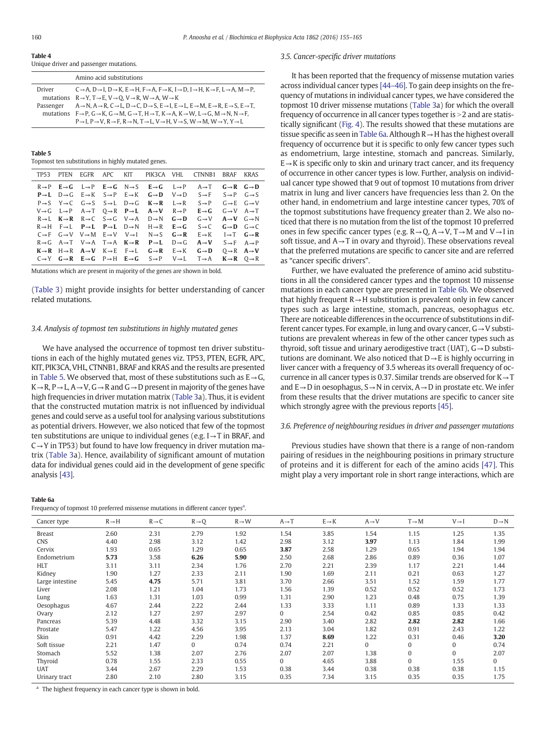#### <span id="page-5-0"></span>Table 4 Unique driver and passenger mutations.

|               | Amino acid substitutions                                                                                                                                                                                                                                                                                                                                                                                                                                                                                                                                                  |
|---------------|---------------------------------------------------------------------------------------------------------------------------------------------------------------------------------------------------------------------------------------------------------------------------------------------------------------------------------------------------------------------------------------------------------------------------------------------------------------------------------------------------------------------------------------------------------------------------|
| <b>Driver</b> | $C \rightarrow A$ , $D \rightarrow I$ , $D \rightarrow K$ , $E \rightarrow H$ , $F \rightarrow A$ , $F \rightarrow K$ , $I \rightarrow D$ , $I \rightarrow H$ , $K \rightarrow F$ , $L \rightarrow A$ , $M \rightarrow P$ ,<br>mutations $R \rightarrow Y$ , $T \rightarrow E$ , $V \rightarrow O$ , $V \rightarrow R$ , $W \rightarrow A$ , $W \rightarrow K$                                                                                                                                                                                                            |
| Passenger     | $A \rightarrow N$ , $A \rightarrow R$ , $C \rightarrow L$ , $D \rightarrow C$ , $D \rightarrow S$ , $E \rightarrow I$ , $E \rightarrow L$ , $E \rightarrow M$ , $E \rightarrow R$ , $E \rightarrow S$ , $E \rightarrow T$ ,<br>mutations $F \to P$ , $G \to K$ , $G \to M$ , $G \to T$ , $H \to T$ , $K \to A$ , $K \to W$ , $L \to G$ , $M \to N$ , $N \to F$ ,<br>$P \rightarrow I$ , $P \rightarrow V$ , $R \rightarrow F$ , $R \rightarrow N$ , $T \rightarrow L$ , $V \rightarrow H$ , $V \rightarrow S$ , $W \rightarrow M$ , $W \rightarrow Y$ , $Y \rightarrow L$ |
|               |                                                                                                                                                                                                                                                                                                                                                                                                                                                                                                                                                                           |

Table 5

Topmost ten substitutions in highly mutated genes.

| TP <sub>53</sub> | <b>PTFN</b> |                                                                                           | EGFR APC KIT |                                                                                                                               | PIK3CA VHL CTNNB1                                                                                                                                                                   | BRAF                                | KRAS |
|------------------|-------------|-------------------------------------------------------------------------------------------|--------------|-------------------------------------------------------------------------------------------------------------------------------|-------------------------------------------------------------------------------------------------------------------------------------------------------------------------------------|-------------------------------------|------|
|                  |             |                                                                                           |              | $R \rightarrow P$ $E \rightarrow G$ $L \rightarrow P$ $E \rightarrow G$ $N \rightarrow S$ $E \rightarrow G$ $L \rightarrow P$ | $A \rightarrow T$                                                                                                                                                                   | $G \rightarrow R$ $G \rightarrow D$ |      |
|                  |             |                                                                                           |              | $P \rightarrow L$ $D \rightarrow G$ $E \rightarrow K$ $S \rightarrow P$ $E \rightarrow K$ $G \rightarrow D$ $V \rightarrow D$ | $S \rightarrow F$ $S \rightarrow P$ $G \rightarrow S$                                                                                                                               |                                     |      |
|                  |             |                                                                                           |              | $P \rightarrow S$ $Y \rightarrow C$ $G \rightarrow S$ $S \rightarrow L$ $D \rightarrow G$ $K \rightarrow R$ $L \rightarrow R$ | $S \rightarrow P$                                                                                                                                                                   | $G \rightarrow E$ $G \rightarrow V$ |      |
|                  |             |                                                                                           |              | $V \rightarrow G$ $L \rightarrow P$ $A \rightarrow T$ $Q \rightarrow R$ $P \rightarrow L$ $A \rightarrow V$ $R \rightarrow P$ | $E \rightarrow G$                                                                                                                                                                   | $G \rightarrow V$ $A \rightarrow T$ |      |
|                  |             |                                                                                           |              | $R \rightarrow L$ $K \rightarrow R$ $R \rightarrow C$ $S \rightarrow G$ $V \rightarrow A$ $D \rightarrow N$ $G \rightarrow D$ | $G \rightarrow V$                                                                                                                                                                   | $A \rightarrow V$ $G \rightarrow N$ |      |
|                  |             |                                                                                           |              | $R \rightarrow H$ $F \rightarrow L$ $P \rightarrow L$ $P \rightarrow L$ $D \rightarrow N$ $H \rightarrow R$ $E \rightarrow G$ | $S \rightarrow C$                                                                                                                                                                   | $G \rightarrow D$ $G \rightarrow C$ |      |
|                  |             |                                                                                           |              | $C \rightarrow F$ $G \rightarrow V$ $V \rightarrow M$ $E \rightarrow V$ $V \rightarrow I$ $N \rightarrow S$ $G \rightarrow R$ | $E \rightarrow K$ $I \rightarrow T$ $G \rightarrow R$                                                                                                                               |                                     |      |
|                  |             | $R \rightarrow G$ $A \rightarrow T$ $V \rightarrow A$ $T \rightarrow A$ $K \rightarrow R$ |              | $P \rightarrow L$ $D \rightarrow G$                                                                                           | $A \rightarrow V$ $S \rightarrow F$ $A \rightarrow P$                                                                                                                               |                                     |      |
|                  |             | $K \rightarrow R$ $H \rightarrow R$ $A \rightarrow V$ $K \rightarrow E$ $F \rightarrow L$ |              | $G \rightarrow R$ $E \rightarrow K$ $G \rightarrow D$                                                                         |                                                                                                                                                                                     | $0 \rightarrow R$ $A \rightarrow V$ |      |
|                  |             |                                                                                           |              |                                                                                                                               | $C \rightarrow Y$ $G \rightarrow R$ $E \rightarrow G$ $P \rightarrow H$ $E \rightarrow G$ $S \rightarrow P$ $V \rightarrow L$ $T \rightarrow A$ $K \rightarrow R$ $Q \rightarrow R$ |                                     |      |

Mutations which are present in majority of the genes are shown in bold.

[\(Table 3](#page-4-0)) might provide insights for better understanding of cancer related mutations.

# 3.4. Analysis of topmost ten substitutions in highly mutated genes

We have analysed the occurrence of topmost ten driver substitutions in each of the highly mutated genes viz. TP53, PTEN, EGFR, APC, KIT, PIK3CA, VHL, CTNNB1, BRAF and KRAS and the results are presented in Table 5. We observed that, most of these substitutions such as  $E \rightarrow G$ ,  $K \rightarrow R$ ,  $P \rightarrow L$ ,  $A \rightarrow V$ ,  $G \rightarrow R$  and  $G \rightarrow D$  present in majority of the genes have high frequencies in driver mutation matrix [\(Table 3](#page-4-0)a). Thus, it is evident that the constructed mutation matrix is not influenced by individual genes and could serve as a useful tool for analysing various substitutions as potential drivers. However, we also noticed that few of the topmost ten substitutions are unique to individual genes (e.g.  $I \rightarrow T$  in BRAF, and  $C \rightarrow Y$  in TP53) but found to have low frequency in driver mutation matrix ([Table 3](#page-4-0)a). Hence, availability of significant amount of mutation data for individual genes could aid in the development of gene specific analysis [\[43\]](#page-10-0).

#### Table 6a

Frequency of topmost 10 preferred missense mutations in different cancer types<sup>a</sup>.

## 3.5. Cancer-specific driver mutations

It has been reported that the frequency of missense mutation varies across individual cancer types [44–[46\]](#page-10-0). To gain deep insights on the frequency of mutations in individual cancer types, we have considered the topmost 10 driver missense mutations ([Table 3](#page-4-0)a) for which the overall frequency of occurrence in all cancer types together is >2 and are statistically significant ([Fig. 4\)](#page-4-0). The results showed that these mutations are tissue specific as seen in Table 6a. Although R→H has the highest overall frequency of occurrence but it is specific to only few cancer types such as endometrium, large intestine, stomach and pancreas. Similarly,  $E \rightarrow K$  is specific only to skin and urinary tract cancer, and its frequency of occurrence in other cancer types is low. Further, analysis on individual cancer type showed that 9 out of topmost 10 mutations from driver matrix in lung and liver cancers have frequencies less than 2. On the other hand, in endometrium and large intestine cancer types, 70% of the topmost substitutions have frequency greater than 2. We also noticed that there is no mutation from the list of the topmost 10 preferred ones in few specific cancer types (e.g.  $R \rightarrow Q$ ,  $A \rightarrow V$ ,  $T \rightarrow M$  and  $V \rightarrow I$  in soft tissue, and  $A \rightarrow T$  in ovary and thyroid). These observations reveal that the preferred mutations are specific to cancer site and are referred as "cancer specific drivers".

Further, we have evaluated the preference of amino acid substitutions in all the considered cancer types and the topmost 10 missense mutations in each cancer type are presented in [Table 6b.](#page-6-0) We observed that highly frequent  $R \rightarrow H$  substitution is prevalent only in few cancer types such as large intestine, stomach, pancreas, oesophagus etc. There are noticeable differences in the occurrence of substitutions in different cancer types. For example, in lung and ovary cancer, G→V substitutions are prevalent whereas in few of the other cancer types such as thyroid, soft tissue and urinary aerodigestive tract (UAT),  $G \rightarrow D$  substitutions are dominant. We also noticed that  $D \rightarrow E$  is highly occurring in liver cancer with a frequency of 3.5 whereas its overall frequency of occurrence in all cancer types is 0.37. Similar trends are observed for  $K \rightarrow T$ and E→D in oesophagus, S→N in cervix, A→D in prostate etc. We infer from these results that the driver mutations are specific to cancer site which strongly agree with the previous reports [\[45\]](#page-10-0).

# 3.6. Preference of neighbouring residues in driver and passenger mutations

Previous studies have shown that there is a range of non-random pairing of residues in the neighbouring positions in primary structure of proteins and it is different for each of the amino acids [\[47\].](#page-10-0) This might play a very important role in short range interactions, which are

| Cancer type     | $R \rightarrow H$ | $R \rightarrow C$ | $R \rightarrow Q$ | $R \rightarrow W$ | $A \rightarrow T$ | $E \rightarrow K$ | $A \rightarrow V$ | $T \rightarrow M$ | $V \rightarrow I$ | $D \rightarrow N$ |
|-----------------|-------------------|-------------------|-------------------|-------------------|-------------------|-------------------|-------------------|-------------------|-------------------|-------------------|
| <b>Breast</b>   | 2.60              | 2.31              | 2.79              | 1.92              | 1.54              | 3.85              | 1.54              | 1.15              | 1.25              | 1.35              |
| <b>CNS</b>      | 4.40              | 2.98              | 3.12              | 1.42              | 2.98              | 3.12              | 3.97              | 1.13              | 1.84              | 1.99              |
| Cervix          | 1.93              | 0.65              | 1.29              | 0.65              | 3.87              | 2.58              | 1.29              | 0.65              | 1.94              | 1.94              |
| Endometrium     | 5.73              | 3.58              | 6.26              | 5.90              | 2.50              | 2.68              | 2.86              | 0.89              | 0.36              | 1.07              |
| <b>HLT</b>      | 3.11              | 3.11              | 2.34              | 1.76              | 2.70              | 2.21              | 2.39              | 1.17              | 2.21              | 1.44              |
| Kidney          | 1.90              | 1.27              | 2.33              | 2.11              | 1.90              | 1.69              | 2.11              | 0.21              | 0.63              | 1.27              |
| Large intestine | 5.45              | 4.75              | 5.71              | 3.81              | 3.70              | 2.66              | 3.51              | 1.52              | 1.59              | 1.77              |
| Liver           | 2.08              | 1.21              | 1.04              | 1.73              | 1.56              | 1.39              | 0.52              | 0.52              | 0.52              | 1.73              |
| Lung            | 1.63              | 1.31              | 1.03              | 0.99              | 1.31              | 2.90              | 1.23              | 0.48              | 0.75              | 1.39              |
| Oesophagus      | 4.67              | 2.44              | 2.22              | 2.44              | 1.33              | 3.33              | 1.11              | 0.89              | 1.33              | 1.33              |
| Ovary           | 2.12              | 1.27              | 2.97              | 2.97              | $\mathbf{0}$      | 2.54              | 0.42              | 0.85              | 0.85              | 0.42              |
| Pancreas        | 5.39              | 4.48              | 3.32              | 3.15              | 2.90              | 3.40              | 2.82              | 2.82              | 2.82              | 1.66              |
| Prostate        | 5.47              | 1.22              | 4.56              | 3.95              | 2.13              | 3.04              | 1.82              | 0.91              | 2.43              | 1.22              |
| Skin            | 0.91              | 4.42              | 2.29              | 1.98              | 1.37              | 8.69              | 1.22              | 0.31              | 0.46              | 3.20              |
| Soft tissue     | 2.21              | 1.47              | $\Omega$          | 0.74              | 0.74              | 2.21              | $\Omega$          | $\Omega$          | 0                 | 0.74              |
| Stomach         | 5.52              | 1.38              | 2.07              | 2.76              | 2.07              | 2.07              | 1.38              | $\mathbf{0}$      | 0                 | 2.07              |
| Thyroid         | 0.78              | 1.55              | 2.33              | 0.55              | 0                 | 4.65              | 3.88              | $\Omega$          | 1.55              | 0                 |
| <b>UAT</b>      | 3.44              | 2.67              | 2.29              | 1.53              | 0.38              | 3.44              | 0.38              | 0.38              | 0.38              | 1.15              |
| Urinary tract   | 2.80              | 2.10              | 2.80              | 3.15              | 0.35              | 7.34              | 3.15              | 0.35              | 0.35              | 1.75              |

<sup>a</sup> The highest frequency in each cancer type is shown in bold.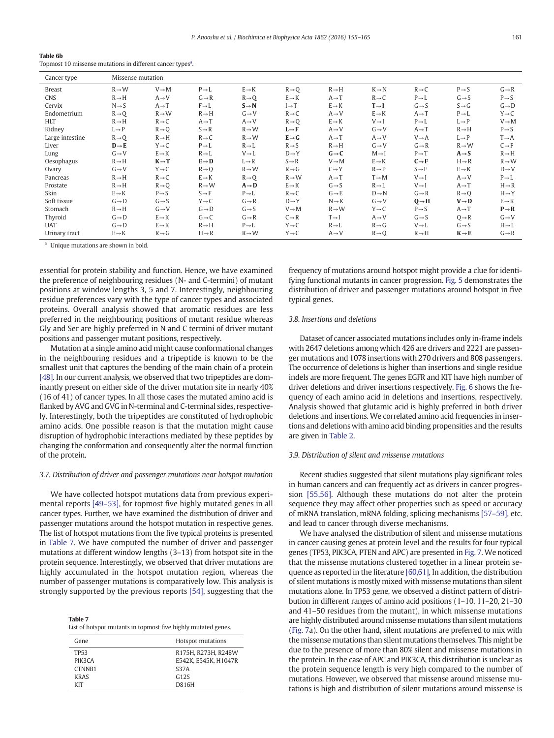<span id="page-6-0"></span>

| Table 6b |                                                                        |  |
|----------|------------------------------------------------------------------------|--|
|          | Topmost 10 missense mutations in different cancer types <sup>a</sup> . |  |

| Cancer type     | Missense mutation |                   |                   |                   |                   |                   |                   |                   |                   |                   |
|-----------------|-------------------|-------------------|-------------------|-------------------|-------------------|-------------------|-------------------|-------------------|-------------------|-------------------|
| Breast          | $R \rightarrow W$ | $V \rightarrow M$ | $P \rightarrow L$ | $E \rightarrow K$ | $R \rightarrow Q$ | $R \rightarrow H$ | $K \rightarrow N$ | $R \rightarrow C$ | $P \rightarrow S$ | $G \rightarrow R$ |
| <b>CNS</b>      | $R \rightarrow H$ | $A \rightarrow V$ | $G \rightarrow R$ | $R \rightarrow Q$ | $E \rightarrow K$ | $A \rightarrow T$ | $R \rightarrow C$ | $P \rightarrow L$ | $G \rightarrow S$ | $P \rightarrow S$ |
| Cervix          | $N \rightarrow S$ | $A \rightarrow T$ | $F \rightarrow L$ | $S \rightarrow N$ | $I \rightarrow T$ | $E \rightarrow K$ | $T \rightarrow I$ | $G \rightarrow S$ | $S \rightarrow G$ | $G \rightarrow D$ |
| Endometrium     | $R \rightarrow Q$ | $R \rightarrow W$ | $R \rightarrow H$ | $G \rightarrow V$ | $R \rightarrow C$ | $A \rightarrow V$ | $E \rightarrow K$ | $A \rightarrow T$ | $P \rightarrow L$ | $Y \rightarrow C$ |
| <b>HLT</b>      | $R \rightarrow H$ | $R \rightarrow C$ | $A \rightarrow T$ | $A \rightarrow V$ | $R \rightarrow Q$ | $E \rightarrow K$ | $V \rightarrow I$ | $P \rightarrow L$ | $L \rightarrow P$ | $V \rightarrow M$ |
| Kidney          | $L \rightarrow P$ | $R \rightarrow Q$ | $S \rightarrow R$ | $R \rightarrow W$ | $L \rightarrow F$ | $A \rightarrow V$ | $G \rightarrow V$ | $A \rightarrow T$ | $R \rightarrow H$ | $P \rightarrow S$ |
| Large intestine | $R\rightarrow Q$  | $R \rightarrow H$ | $R \rightarrow C$ | $R \rightarrow W$ | $E \rightarrow G$ | $A \rightarrow T$ | $A \rightarrow V$ | $V \rightarrow A$ | $L \rightarrow P$ | $T \rightarrow A$ |
| Liver           | $D \rightarrow E$ | $Y \rightarrow C$ | $P \rightarrow L$ | $R \rightarrow L$ | $R \rightarrow S$ | $R \rightarrow H$ | $G \rightarrow V$ | $G \rightarrow R$ | $R \rightarrow W$ | $C \rightarrow F$ |
| Lung            | $G \rightarrow V$ | $E \rightarrow K$ | $R \rightarrow L$ | $V \rightarrow L$ | $D \rightarrow Y$ | $G \rightarrow C$ | $M \rightarrow I$ | $P \rightarrow T$ | $A \rightarrow S$ | $R \rightarrow H$ |
| Oesophagus      | $R \rightarrow H$ | $K \rightarrow T$ | $E \rightarrow D$ | $L \rightarrow R$ | $S \rightarrow R$ | $V \rightarrow M$ | $E \rightarrow K$ | $C \rightarrow F$ | $H \rightarrow R$ | $R \rightarrow W$ |
| Ovary           | $G \rightarrow V$ | $Y \rightarrow C$ | $R \rightarrow Q$ | $R \rightarrow W$ | $R \rightarrow G$ | $C \rightarrow Y$ | $R \rightarrow P$ | $S \rightarrow F$ | $E \rightarrow K$ | $D \rightarrow V$ |
| Pancreas        | $R \rightarrow H$ | $R \rightarrow C$ | $E \rightarrow K$ | $R \rightarrow Q$ | $R \rightarrow W$ | $A \rightarrow T$ | $T \rightarrow M$ | $V \rightarrow I$ | $A \rightarrow V$ | $P \rightarrow L$ |
| Prostate        | $R \rightarrow H$ | $R\rightarrow Q$  | $R \rightarrow W$ | $A \rightarrow D$ | $E \rightarrow K$ | $G \rightarrow S$ | $R \rightarrow L$ | $V \rightarrow I$ | $A \rightarrow T$ | $H \rightarrow R$ |
| Skin            | $E \rightarrow K$ | $P \rightarrow S$ | $S \rightarrow F$ | $P \rightarrow L$ | $R \rightarrow C$ | $G \rightarrow E$ | $D \rightarrow N$ | $G \rightarrow R$ | $R\rightarrow Q$  | $H \rightarrow Y$ |
| Soft tissue     | $G \rightarrow D$ | $G \rightarrow S$ | $Y \rightarrow C$ | $G \rightarrow R$ | $D \rightarrow Y$ | $N \rightarrow K$ | $G \rightarrow V$ | $Q \rightarrow H$ | $V \rightarrow D$ | $E \rightarrow K$ |
| Stomach         | $R \rightarrow H$ | $G \rightarrow V$ | $G \rightarrow D$ | $G \rightarrow S$ | $V \rightarrow M$ | $R \rightarrow W$ | $Y \rightarrow C$ | $P \rightarrow S$ | $A \rightarrow T$ | $P \rightarrow R$ |
| Thyroid         | $G \rightarrow D$ | $E \rightarrow K$ | $G \rightarrow C$ | $G \rightarrow R$ | $C \rightarrow R$ | $T \rightarrow I$ | $A \rightarrow V$ | $G \rightarrow S$ | $Q \rightarrow R$ | $G \rightarrow V$ |
| <b>UAT</b>      | $G \rightarrow D$ | $E \rightarrow K$ | $R \rightarrow H$ | $P \rightarrow L$ | $Y \rightarrow C$ | $R \rightarrow L$ | $R \rightarrow G$ | $V \rightarrow L$ | $G \rightarrow S$ | $H \rightarrow L$ |
| Urinary tract   | $E \rightarrow K$ | $R \rightarrow G$ | $H \rightarrow R$ | $R \rightarrow W$ | $Y \rightarrow C$ | $A \rightarrow V$ | $R\rightarrow Q$  | $R \rightarrow H$ | $K \rightarrow E$ | $G \rightarrow R$ |

<sup>a</sup> Unique mutations are shown in bold.

essential for protein stability and function. Hence, we have examined the preference of neighbouring residues (N- and C-termini) of mutant positions at window lengths 3, 5 and 7. Interestingly, neighbouring residue preferences vary with the type of cancer types and associated proteins. Overall analysis showed that aromatic residues are less preferred in the neighbouring positions of mutant residue whereas Gly and Ser are highly preferred in N and C termini of driver mutant positions and passenger mutant positions, respectively.

Mutation at a single amino acid might cause conformational changes in the neighbouring residues and a tripeptide is known to be the smallest unit that captures the bending of the main chain of a protein [\[48\].](#page-10-0) In our current analysis, we observed that two tripeptides are dominantly present on either side of the driver mutation site in nearly 40% (16 of 41) of cancer types. In all those cases the mutated amino acid is flanked by AVG and GVG in N-terminal and C-terminal sides, respectively. Interestingly, both the tripeptides are constituted of hydrophobic amino acids. One possible reason is that the mutation might cause disruption of hydrophobic interactions mediated by these peptides by changing the conformation and consequently alter the normal function of the protein.

# 3.7. Distribution of driver and passenger mutations near hotspot mutation

We have collected hotspot mutations data from previous experimental reports [49–[53\],](#page-10-0) for topmost five highly mutated genes in all cancer types. Further, we have examined the distribution of driver and passenger mutations around the hotspot mutation in respective genes. The list of hotspot mutations from the five typical proteins is presented in Table 7. We have computed the number of driver and passenger mutations at different window lengths (3–13) from hotspot site in the protein sequence. Interestingly, we observed that driver mutations are highly accumulated in the hotspot mutation region, whereas the number of passenger mutations is comparatively low. This analysis is strongly supported by the previous reports [\[54\],](#page-10-0) suggesting that the

Table 7 List of hotspot mutants in topmost five highly mutated genes.

| Gene                                                              | Hotspot mutations                                                                  |
|-------------------------------------------------------------------|------------------------------------------------------------------------------------|
| <b>TP53</b><br>PIK3CA<br>CTNNB <sub>1</sub><br><b>KRAS</b><br>KIT | R175H, R273H, R248W<br>E542K, E545K, H1047R<br><b>S37A</b><br>G12S<br><b>D816H</b> |
|                                                                   |                                                                                    |

frequency of mutations around hotspot might provide a clue for identifying functional mutants in cancer progression. [Fig. 5](#page-7-0) demonstrates the distribution of driver and passenger mutations around hotspot in five typical genes.

#### 3.8. Insertions and deletions

Dataset of cancer associated mutations includes only in-frame indels with 2647 deletions among which 426 are drivers and 2221 are passenger mutations and 1078 insertions with 270 drivers and 808 passengers. The occurrence of deletions is higher than insertions and single residue indels are more frequent. The genes EGFR and KIT have high number of driver deletions and driver insertions respectively. [Fig. 6](#page-7-0) shows the frequency of each amino acid in deletions and insertions, respectively. Analysis showed that glutamic acid is highly preferred in both driver deletions and insertions. We correlated amino acid frequencies in insertions and deletions with amino acid binding propensities and the results are given in [Table 2.](#page-3-0)

# 3.9. Distribution of silent and missense mutations

Recent studies suggested that silent mutations play significant roles in human cancers and can frequently act as drivers in cancer progression [\[55,56\]](#page-10-0). Although these mutations do not alter the protein sequence they may affect other properties such as speed or accuracy of mRNA translation, mRNA folding, splicing mechanisms [\[57](#page-10-0)–59], etc. and lead to cancer through diverse mechanisms.

We have analysed the distribution of silent and missense mutations in cancer causing genes at protein level and the results for four typical genes (TP53, PIK3CA, PTEN and APC) are presented in [Fig. 7.](#page-8-0) We noticed that the missense mutations clustered together in a linear protein sequence as reported in the literature [\[60,61\]](#page-10-0), In addition, the distribution of silent mutations is mostly mixed with missense mutations than silent mutations alone. In TP53 gene, we observed a distinct pattern of distribution in different ranges of amino acid positions (1–10, 11–20, 21–30 and 41–50 residues from the mutant), in which missense mutations are highly distributed around missense mutations than silent mutations [\(Fig. 7](#page-8-0)a). On the other hand, silent mutations are preferred to mix with the missense mutations than silent mutations themselves. This might be due to the presence of more than 80% silent and missense mutations in the protein. In the case of APC and PIK3CA, this distribution is unclear as the protein sequence length is very high compared to the number of mutations. However, we observed that missense around missense mutations is high and distribution of silent mutations around missense is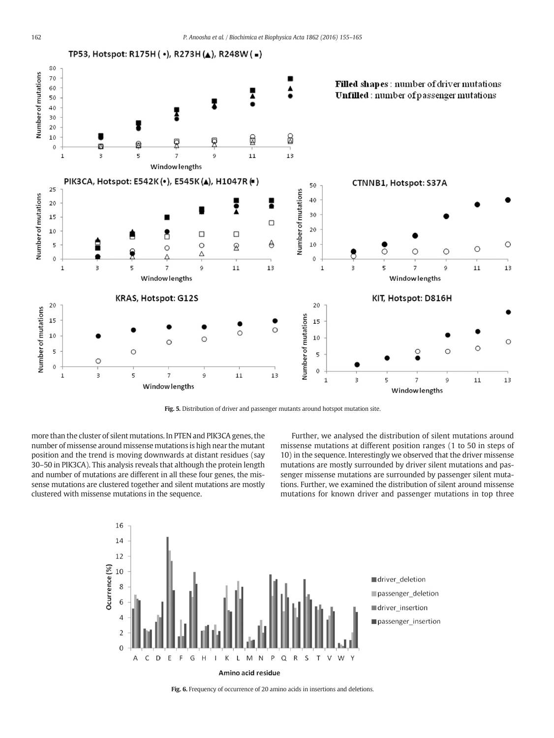<span id="page-7-0"></span>

Fig. 5. Distribution of driver and passenger mutants around hotspot mutation site.

more than the cluster of silent mutations. In PTEN and PIK3CA genes, the number of missense around missense mutations is high near the mutant position and the trend is moving downwards at distant residues (say 30–50 in PIK3CA). This analysis reveals that although the protein length and number of mutations are different in all these four genes, the missense mutations are clustered together and silent mutations are mostly clustered with missense mutations in the sequence.

Further, we analysed the distribution of silent mutations around missense mutations at different position ranges (1 to 50 in steps of 10) in the sequence. Interestingly we observed that the driver missense mutations are mostly surrounded by driver silent mutations and passenger missense mutations are surrounded by passenger silent mutations. Further, we examined the distribution of silent around missense mutations for known driver and passenger mutations in top three





Amino acid residue

Fig. 6. Frequency of occurrence of 20 amino acids in insertions and deletions.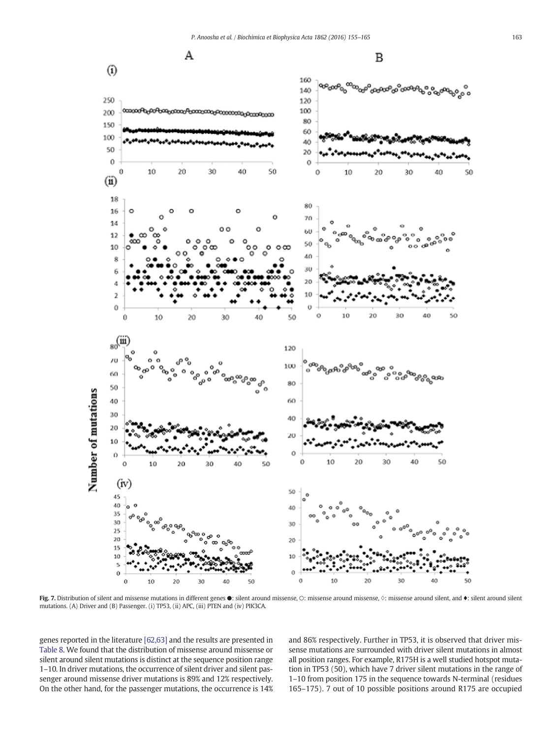<span id="page-8-0"></span>

Fig. 7. Distribution of silent and missense mutations in different genes  $\bullet$ : silent around missense, ⊙: missense around missense, ◇: missense around silent, and ♦: silent around silent mutations. (A) Driver and (B) Passenger. (i) TP53, (ii) APC, (iii) PTEN and (iv) PIK3CA.

genes reported in the literature [\[62,63\]](#page-10-0) and the results are presented in [Table 8.](#page-9-0) We found that the distribution of missense around missense or silent around silent mutations is distinct at the sequence position range 1–10. In driver mutations, the occurrence of silent driver and silent passenger around missense driver mutations is 89% and 12% respectively. On the other hand, for the passenger mutations, the occurrence is 14% and 86% respectively. Further in TP53, it is observed that driver missense mutations are surrounded with driver silent mutations in almost all position ranges. For example, R175H is a well studied hotspot mutation in TP53 (50), which have 7 driver silent mutations in the range of 1–10 from position 175 in the sequence towards N-terminal (residues 165–175). 7 out of 10 possible positions around R175 are occupied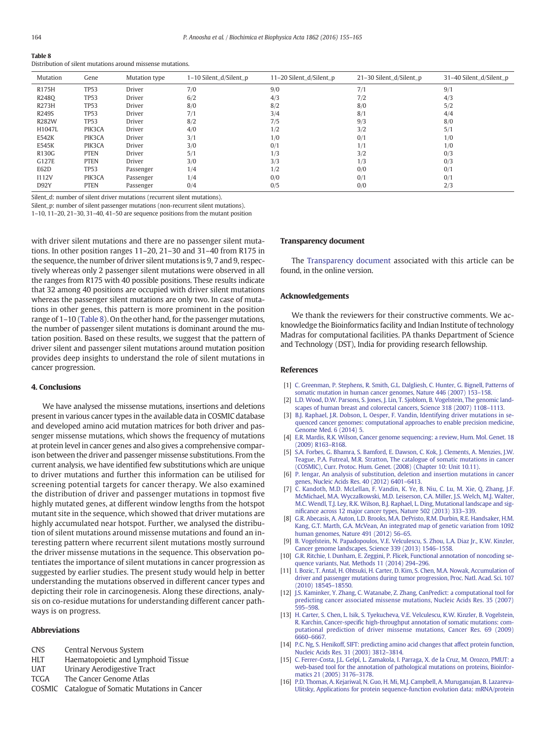<span id="page-9-0"></span>

| Table 8                                                     |  |
|-------------------------------------------------------------|--|
| Distribution of silent mutations around missense mutations. |  |

| Mutation     | Gene        | Mutation type | 1-10 Silent_d/Silent_p | 11-20 Silent_d/Silent_p | 21-30 Silent_d/Silent_p | 31-40 Silent_d/Silent_p |
|--------------|-------------|---------------|------------------------|-------------------------|-------------------------|-------------------------|
| R175H        | <b>TP53</b> | Driver        | 7/0                    | 9/0                     | 7/1                     | 9/1                     |
| R2480        | <b>TP53</b> | Driver        | 6/2                    | 4/3                     | 7/2                     | 4/3                     |
| <b>R273H</b> | <b>TP53</b> | Driver        | 8/0                    | 8/2                     | 8/0                     | 5/2                     |
| R249S        | <b>TP53</b> | Driver        | 7/1                    | 3/4                     | 8/1                     | 4/4                     |
| <b>R282W</b> | <b>TP53</b> | Driver        | 8/2                    | 7/5                     | 9/3                     | 8/0                     |
| H1047L       | PIK3CA      | Driver        | 4/0                    | 1/2                     | 3/2                     | 5/1                     |
| E542K        | PIK3CA      | Driver        | 3/1                    | 1/0                     | 0/1                     | 1/0                     |
| E545K        | PIK3CA      | Driver        | 3/0                    | 0/1                     | 1/1                     | 1/0                     |
| R130G        | <b>PTEN</b> | Driver        | 5/1                    | 1/3                     | 3/2                     | 0/3                     |
| G127E        | <b>PTEN</b> | Driver        | 3/0                    | 3/3                     | 1/3                     | 0/3                     |
| E62D         | <b>TP53</b> | Passenger     | 1/4                    | 1/2                     | 0/0                     | 0/1                     |
| I112V        | PIK3CA      | Passenger     | 1/4                    | 0/0                     | 0/1                     | 0/1                     |
| D92Y         | <b>PTEN</b> | Passenger     | 0/4                    | 0/5                     | 0/0                     | 2/3                     |

Silent\_d: number of silent driver mutations (recurrent silent mutations).

Silent\_p: number of silent passenger mutations (non-recurrent silent mutations).

1–10, 11–20, 21–30, 31–40, 41–50 are sequence positions from the mutant position

with driver silent mutations and there are no passenger silent mutations. In other position ranges 11–20, 21–30 and 31–40 from R175 in the sequence, the number of driver silent mutations is 9, 7 and 9, respectively whereas only 2 passenger silent mutations were observed in all the ranges from R175 with 40 possible positions. These results indicate that 32 among 40 positions are occupied with driver silent mutations whereas the passenger silent mutations are only two. In case of mutations in other genes, this pattern is more prominent in the position range of 1–10 (Table 8). On the other hand, for the passenger mutations, the number of passenger silent mutations is dominant around the mutation position. Based on these results, we suggest that the pattern of driver silent and passenger silent mutations around mutation position provides deep insights to understand the role of silent mutations in cancer progression.

# 4. Conclusions

We have analysed the missense mutations, insertions and deletions present in various cancer types in the available data in COSMIC database and developed amino acid mutation matrices for both driver and passenger missense mutations, which shows the frequency of mutations at protein level in cancer genes and also gives a comprehensive comparison between the driver and passenger missense substitutions. From the current analysis, we have identified few substitutions which are unique to driver mutations and further this information can be utilised for screening potential targets for cancer therapy. We also examined the distribution of driver and passenger mutations in topmost five highly mutated genes, at different window lengths from the hotspot mutant site in the sequence, which showed that driver mutations are highly accumulated near hotspot. Further, we analysed the distribution of silent mutations around missense mutations and found an interesting pattern where recurrent silent mutations mostly surround the driver missense mutations in the sequence. This observation potentiates the importance of silent mutations in cancer progression as suggested by earlier studies. The present study would help in better understanding the mutations observed in different cancer types and depicting their role in carcinogenesis. Along these directions, analysis on co-residue mutations for understanding different cancer pathways is on progress.

# Abbreviations

- CNS Central Nervous System
- HLT Haematopoietic and Lymphoid Tissue
- UAT Urinary Aerodigestive Tract
- TCGA The Cancer Genome Atlas
- COSMIC Catalogue of Somatic Mutations in Cancer

#### Transparency document

The [Transparency document](http://dx.doi.org/) associated with this article can be found, in the online version.

# Acknowledgements

We thank the reviewers for their constructive comments. We acknowledge the Bioinformatics facility and Indian Institute of technology Madras for computational facilities. PA thanks Department of Science and Technology (DST), India for providing research fellowship.

# References

- [1] [C. Greenman, P. Stephens, R. Smith, G.L. Dalgliesh, C. Hunter, G. Bignell, Patterns of](http://refhub.elsevier.com/S0925-4439(15)00336-1/rf0005) [somatic mutation in human cancer genomes, Nature 446 \(2007\) 153](http://refhub.elsevier.com/S0925-4439(15)00336-1/rf0005)–158.
- [L.D. Wood, D.W. Parsons, S. Jones, J. Lin, T. Sjoblom, B. Vogelstein, The genomic land](http://refhub.elsevier.com/S0925-4439(15)00336-1/rf0010)[scapes of human breast and colorectal cancers, Science 318 \(2007\) 1108](http://refhub.elsevier.com/S0925-4439(15)00336-1/rf0010)–1113.
- [3] [B.J. Raphael, J.R. Dobson, L. Oesper, F. Vandin, Identifying driver mutations in se](http://refhub.elsevier.com/S0925-4439(15)00336-1/rf0015)[quenced cancer genomes: computational approaches to enable precision medicine,](http://refhub.elsevier.com/S0925-4439(15)00336-1/rf0015) [Genome Med. 6 \(2014\) 5.](http://refhub.elsevier.com/S0925-4439(15)00336-1/rf0015)
- [4] [E.R. Mardis, R.K. Wilson, Cancer genome sequencing: a review, Hum. Mol. Genet. 18](http://refhub.elsevier.com/S0925-4439(15)00336-1/rf0020) [\(2009\) R163](http://refhub.elsevier.com/S0925-4439(15)00336-1/rf0020)–R168.
- [5] [S.A. Forbes, G. Bhamra, S. Bamford, E. Dawson, C. Kok, J. Clements, A. Menzies, J.W.](http://refhub.elsevier.com/S0925-4439(15)00336-1/rf0025) [Teague, P.A. Futreal, M.R. Stratton, The catalogue of somatic mutations in cancer](http://refhub.elsevier.com/S0925-4439(15)00336-1/rf0025) [\(COSMIC\), Curr. Protoc. Hum. Genet. \(2008\) \(Chapter 10: Unit 10.11\).](http://refhub.elsevier.com/S0925-4439(15)00336-1/rf0025)
- [6] [P. Iengar, An analysis of substitution, deletion and insertion mutations in cancer](http://refhub.elsevier.com/S0925-4439(15)00336-1/rf0030) [genes, Nucleic Acids Res. 40 \(2012\) 6401](http://refhub.elsevier.com/S0925-4439(15)00336-1/rf0030)–6413.
- [7] [C. Kandoth, M.D. McLellan, F. Vandin, K. Ye, B. Niu, C. Lu, M. Xie, Q. Zhang, J.F.](http://refhub.elsevier.com/S0925-4439(15)00336-1/rf0035) [McMichael, M.A. Wyczalkowski, M.D. Leiserson, C.A. Miller, J.S. Welch, M.J. Walter,](http://refhub.elsevier.com/S0925-4439(15)00336-1/rf0035) [M.C. Wendl, T.J. Ley, R.K. Wilson, B.J. Raphael, L. Ding, Mutational landscape and sig](http://refhub.elsevier.com/S0925-4439(15)00336-1/rf0035)nifi[cance across 12 major cancer types, Nature 502 \(2013\) 333](http://refhub.elsevier.com/S0925-4439(15)00336-1/rf0035)–339.
- [8] [G.R. Abecasis, A. Auton, L.D. Brooks, M.A. DePristo, R.M. Durbin, R.E. Handsaker, H.M.](http://refhub.elsevier.com/S0925-4439(15)00336-1/rf0040) [Kang, G.T. Marth, G.A. McVean, An integrated map of genetic variation from 1092](http://refhub.elsevier.com/S0925-4439(15)00336-1/rf0040) [human genomes, Nature 491 \(2012\) 56](http://refhub.elsevier.com/S0925-4439(15)00336-1/rf0040)–65.
- [9] [B. Vogelstein, N. Papadopoulos, V.E. Velculescu, S. Zhou, L.A. Diaz Jr., K.W. Kinzler,](http://refhub.elsevier.com/S0925-4439(15)00336-1/rf0045) [Cancer genome landscapes, Science 339 \(2013\) 1546](http://refhub.elsevier.com/S0925-4439(15)00336-1/rf0045)–1558.
- [10] [G.R. Ritchie, I. Dunham, E. Zeggini, P. Flicek, Functional annotation of noncoding se](http://refhub.elsevier.com/S0925-4439(15)00336-1/rf0050)[quence variants, Nat. Methods 11 \(2014\) 294](http://refhub.elsevier.com/S0925-4439(15)00336-1/rf0050)–296.
- [11] [I. Bozic, T. Antal, H. Ohtsuki, H. Carter, D. Kim, S. Chen, M.A. Nowak, Accumulation of](http://refhub.elsevier.com/S0925-4439(15)00336-1/rf0055) [driver and passenger mutations during tumor progression, Proc. Natl. Acad. Sci. 107](http://refhub.elsevier.com/S0925-4439(15)00336-1/rf0055) [\(2010\) 18545](http://refhub.elsevier.com/S0925-4439(15)00336-1/rf0055)–18550.
- [12] [J.S. Kaminker, Y. Zhang, C. Watanabe, Z. Zhang, CanPredict: a computational tool for](http://refhub.elsevier.com/S0925-4439(15)00336-1/rf0060) [predicting cancer associated missense mutations, Nucleic Acids Res. 35 \(2007\)](http://refhub.elsevier.com/S0925-4439(15)00336-1/rf0060) [595](http://refhub.elsevier.com/S0925-4439(15)00336-1/rf0060)–598.
- [13] [H. Carter, S. Chen, L. Isik, S. Tyekucheva, V.E. Velculescu, K.W. Kinzler, B. Vogelstein,](http://refhub.elsevier.com/S0925-4439(15)00336-1/rf0065) R. Karchin, Cancer-specifi[c high-throughput annotation of somatic mutations: com](http://refhub.elsevier.com/S0925-4439(15)00336-1/rf0065)[putational prediction of driver missense mutations, Cancer Res. 69 \(2009\)](http://refhub.elsevier.com/S0925-4439(15)00336-1/rf0065) [6660](http://refhub.elsevier.com/S0925-4439(15)00336-1/rf0065)–6667.
- [14] [P.C. Ng, S. Henikoff, SIFT: predicting amino acid changes that affect protein function,](http://refhub.elsevier.com/S0925-4439(15)00336-1/rf0070) [Nucleic Acids Res. 31 \(2003\) 3812](http://refhub.elsevier.com/S0925-4439(15)00336-1/rf0070)–3814.
- [15] [C. Ferrer-Costa, J.L. Gelpí, L. Zamakola, I. Parraga, X. de la Cruz, M. Orozco, PMUT: a](http://refhub.elsevier.com/S0925-4439(15)00336-1/rf0075) [web-based tool for the annotation of pathological mutations on proteins, Bioinfor](http://refhub.elsevier.com/S0925-4439(15)00336-1/rf0075)[matics 21 \(2005\) 3176](http://refhub.elsevier.com/S0925-4439(15)00336-1/rf0075)–3178.
- [16] [P.D. Thomas, A. Kejariwal, N. Guo, H. Mi, M.J. Campbell, A. Muruganujan, B. Lazareva-](http://refhub.elsevier.com/S0925-4439(15)00336-1/rf0080)[Ulitsky, Applications for protein sequence-function evolution data: mRNA/protein](http://refhub.elsevier.com/S0925-4439(15)00336-1/rf0080)